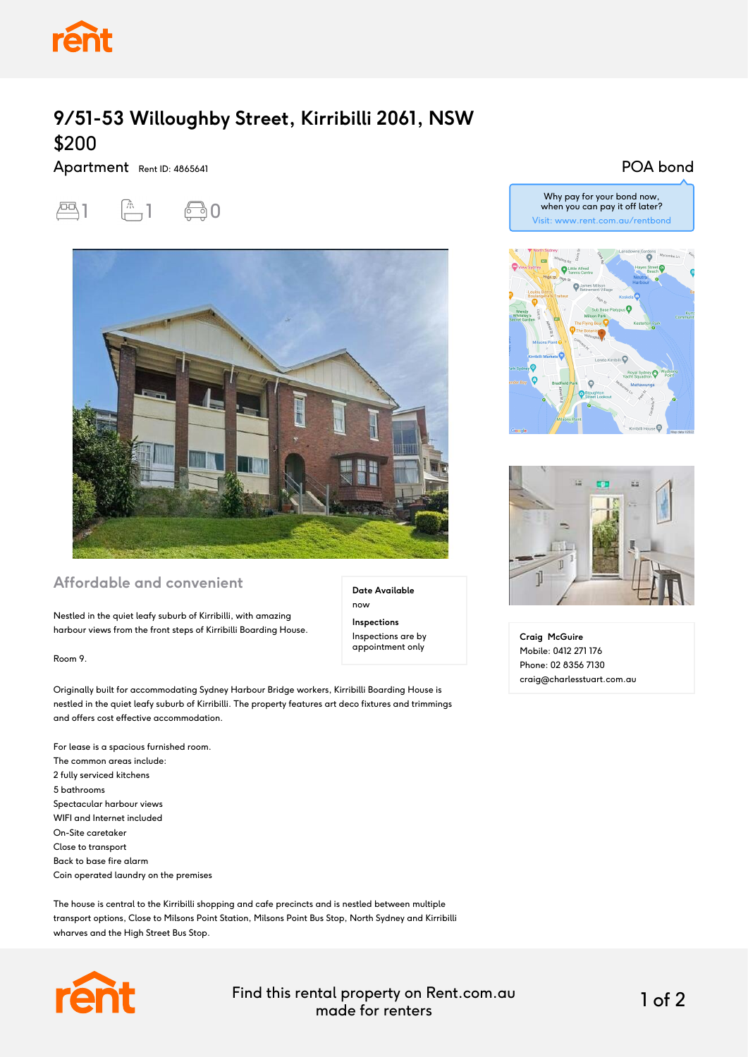

# **9/51-53 Willoughby Street, Kirribilli 2061, NSW** \$200

Apartment Rent ID: 4865641





### **Affordable and convenient**

Nestled in the quiet leafy suburb of Kirribilli, with amazing harbour views from the front steps of Kirribilli Boarding House.

Room 9.

Originally built for accommodating Sydney Harbour Bridge workers, Kirribilli Boarding House is nestled in the quiet leafy suburb of Kirribilli. The property features art deco fixtures and trimmings and offers cost effective accommodation.

For lease is a spacious furnished room. The common areas include: 2 fully serviced kitchens 5 bathrooms Spectacular harbour views WIFI and Internet included On-Site caretaker Close to transport Back to base fire alarm Coin operated laundry on the premises

The house is central to the Kirribilli shopping and cafe precincts and is nestled between multiple transport options, Close to Milsons Point Station, Milsons Point Bus Stop, North Sydney and Kirribilli wharves and the High Street Bus Stop.



Find this rental property on Rent.com.au made for renters 1 of 2

**Date Available**

now **Inspections** Inspections are by appointment only

#### POA bond







**Craig McGuire** Mobile: 0412 271 176 Phone: 02 8356 7130 craig@charlesstuart.com.au